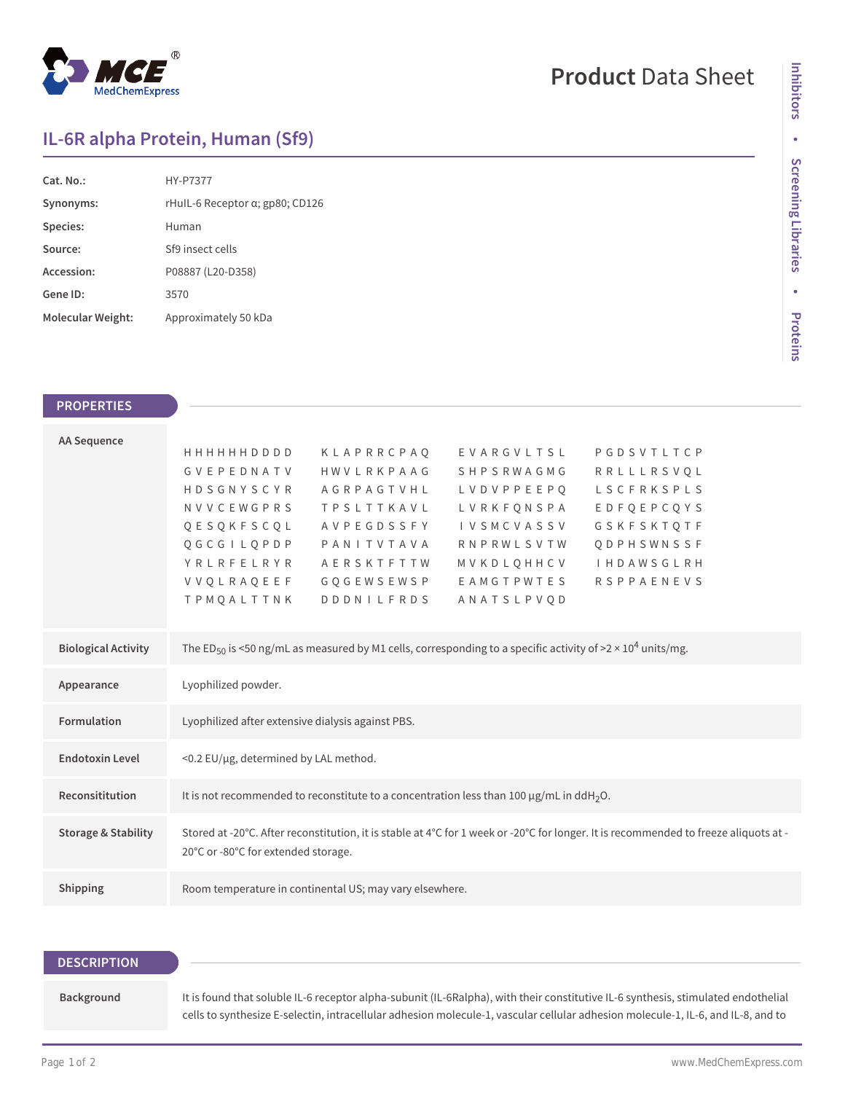

# **Product** Data Sheet

## **IL-6R alpha Protein, Human (Sf9)**

| Cat. No.          | <b>HY-P7377</b>                         |
|-------------------|-----------------------------------------|
| Synonyms:         | rHull-6 Receptor $\alpha$ ; gp80; CD126 |
| Species:          | Human                                   |
| Source:           | Sf9 insect cells                        |
| Accession:        | P08887 (L20-D358)                       |
| Gene ID:          | 3570                                    |
| Molecular Weight: | Approximately 50 kDa                    |

## **PROPERTIES**

| <b>AA Sequence</b>             |                                                                                                                                                                             |                   |                                                                                                                                   |                   |  |
|--------------------------------|-----------------------------------------------------------------------------------------------------------------------------------------------------------------------------|-------------------|-----------------------------------------------------------------------------------------------------------------------------------|-------------------|--|
|                                | HHHHHHDDDD                                                                                                                                                                  | KLAPRRCPAO        | EVARGVLTSL                                                                                                                        | PGDSVTLTCP        |  |
|                                | GVEPEDNATV                                                                                                                                                                  | HWVLRKPAAG        | SHPSRWAGMG                                                                                                                        | RRLLLRSVQL        |  |
|                                | HDSGNYSCYR                                                                                                                                                                  | AGRPAGTVHL        | L V D V P P E E P O                                                                                                               | LSCFRKSPLS        |  |
|                                | NVVCEWGPRS                                                                                                                                                                  | <b>TPSLTTKAVL</b> | LVRKFONSPA                                                                                                                        | <b>EDFOEPCOYS</b> |  |
|                                | QESQKFSCQL                                                                                                                                                                  | AVPEGDSSFY        | <b>IVSMCVASSV</b>                                                                                                                 | GSKFSKTOTF        |  |
|                                | <b>OGCGILOPDP</b>                                                                                                                                                           | PANITVTAVA        | <b>RNPRWLSVTW</b>                                                                                                                 | QDPHSWNSSF        |  |
|                                | <b>YRLRFELRYR</b>                                                                                                                                                           | AERSKTFTTW        | MVKDLQHHCV                                                                                                                        | <b>IHDAWSGLRH</b> |  |
|                                | <b>VVQLRAQEEF</b>                                                                                                                                                           | <b>GQGEWSEWSP</b> | EAMGTPWTES                                                                                                                        | <b>RSPPAENEVS</b> |  |
|                                | TPMQALTTNK                                                                                                                                                                  | <b>DDDNILFRDS</b> | ANATSLPVQD                                                                                                                        |                   |  |
|                                |                                                                                                                                                                             |                   |                                                                                                                                   |                   |  |
| <b>Biological Activity</b>     |                                                                                                                                                                             |                   | The ED <sub>50</sub> is <50 ng/mL as measured by M1 cells, corresponding to a specific activity of >2 × 10 <sup>4</sup> units/mg. |                   |  |
| Appearance                     | Lyophilized powder.                                                                                                                                                         |                   |                                                                                                                                   |                   |  |
| Formulation                    | Lyophilized after extensive dialysis against PBS.                                                                                                                           |                   |                                                                                                                                   |                   |  |
| <b>Endotoxin Level</b>         | <0.2 EU/µg, determined by LAL method.                                                                                                                                       |                   |                                                                                                                                   |                   |  |
| Reconsititution                | It is not recommended to reconstitute to a concentration less than 100 $\mu$ g/mL in ddH <sub>2</sub> O.                                                                    |                   |                                                                                                                                   |                   |  |
| <b>Storage &amp; Stability</b> | Stored at -20°C. After reconstitution, it is stable at 4°C for 1 week or -20°C for longer. It is recommended to freeze aliquots at -<br>20°C or -80°C for extended storage. |                   |                                                                                                                                   |                   |  |
| Shipping                       | Room temperature in continental US; may vary elsewhere.                                                                                                                     |                   |                                                                                                                                   |                   |  |
|                                |                                                                                                                                                                             |                   |                                                                                                                                   |                   |  |

| <b>DESCRIPTION</b> |                                                                                                                                                                                                                                                                       |
|--------------------|-----------------------------------------------------------------------------------------------------------------------------------------------------------------------------------------------------------------------------------------------------------------------|
| Background         | It is found that soluble IL-6 receptor alpha-subunit (IL-6Ralpha), with their constitutive IL-6 synthesis, stimulated endothelial<br>cells to synthesize E-selectin, intracellular adhesion molecule-1, vascular cellular adhesion molecule-1, IL-6, and IL-8, and to |